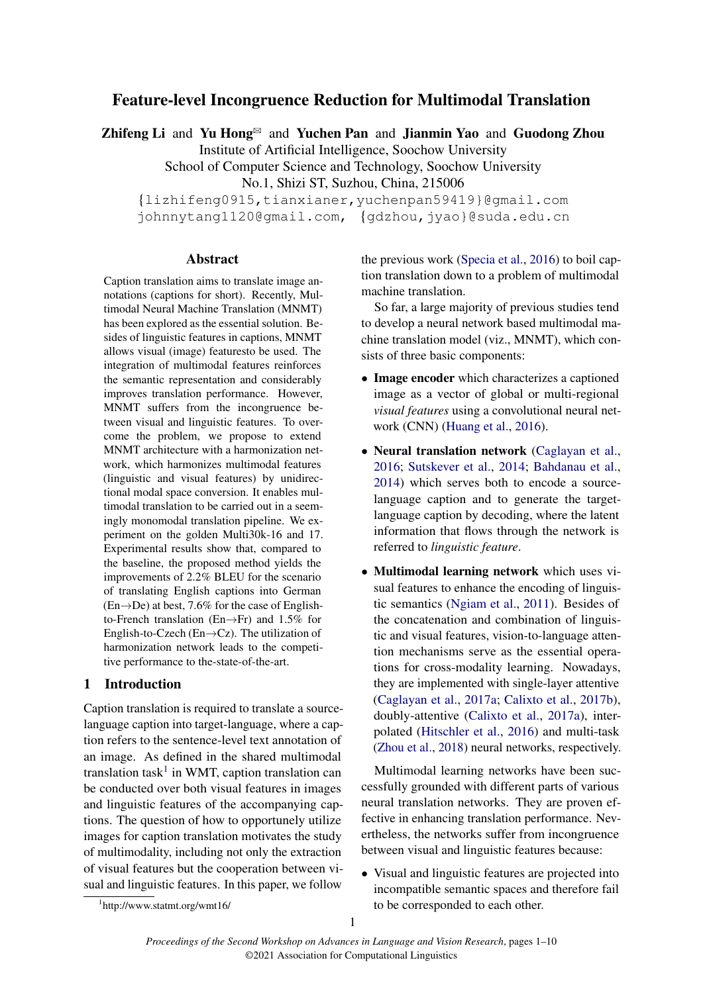# <span id="page-0-0"></span>Feature-level Incongruence Reduction for Multimodal Translation

Zhifeng Li and Yu Hong $\mathbb{B}$  and Yuchen Pan and Jianmin Yao and Guodong Zhou

Institute of Artificial Intelligence, Soochow University

School of Computer Science and Technology, Soochow University No.1, Shizi ST, Suzhou, China, 215006

{lizhifeng0915,tianxianer,yuchenpan59419}@gmail.com johnnytang1120@gmail.com, {gdzhou,jyao}@suda.edu.cn

### Abstract

Caption translation aims to translate image annotations (captions for short). Recently, Multimodal Neural Machine Translation (MNMT) has been explored as the essential solution. Besides of linguistic features in captions, MNMT allows visual (image) featuresto be used. The integration of multimodal features reinforces the semantic representation and considerably improves translation performance. However, MNMT suffers from the incongruence between visual and linguistic features. To overcome the problem, we propose to extend MNMT architecture with a harmonization network, which harmonizes multimodal features (linguistic and visual features) by unidirectional modal space conversion. It enables multimodal translation to be carried out in a seemingly monomodal translation pipeline. We experiment on the golden Multi30k-16 and 17. Experimental results show that, compared to the baseline, the proposed method yields the improvements of 2.2% BLEU for the scenario of translating English captions into German  $(En \rightarrow De)$  at best, 7.6% for the case of Englishto-French translation (En→Fr) and 1.5% for English-to-Czech (En $\rightarrow$ Cz). The utilization of harmonization network leads to the competitive performance to the-state-of-the-art.

# 1 Introduction

Caption translation is required to translate a sourcelanguage caption into target-language, where a caption refers to the sentence-level text annotation of an image. As defined in the shared multimodal translation task<sup>1</sup> in WMT, caption translation can be conducted over both visual features in images and linguistic features of the accompanying captions. The question of how to opportunely utilize images for caption translation motivates the study of multimodality, including not only the extraction of visual features but the cooperation between visual and linguistic features. In this paper, we follow

the previous work [\(Specia et al.,](#page-9-0) [2016\)](#page-9-0) to boil caption translation down to a problem of multimodal machine translation.

So far, a large majority of previous studies tend to develop a neural network based multimodal machine translation model (viz., MNMT), which consists of three basic components:

- Image encoder which characterizes a captioned image as a vector of global or multi-regional *visual features* using a convolutional neural network (CNN) [\(Huang et al.,](#page-8-0) [2016\)](#page-8-0).
- Neural translation network [\(Caglayan et al.,](#page-8-1) [2016;](#page-8-1) [Sutskever et al.,](#page-9-1) [2014;](#page-9-1) [Bahdanau et al.,](#page-8-2) [2014\)](#page-8-2) which serves both to encode a sourcelanguage caption and to generate the targetlanguage caption by decoding, where the latent information that flows through the network is referred to *linguistic feature*.
- Multimodal learning network which uses visual features to enhance the encoding of linguistic semantics [\(Ngiam et al.,](#page-9-2) [2011\)](#page-9-2). Besides of the concatenation and combination of linguistic and visual features, vision-to-language attention mechanisms serve as the essential operations for cross-modality learning. Nowadays, they are implemented with single-layer attentive [\(Caglayan et al.,](#page-8-3) [2017a;](#page-8-3) [Calixto et al.,](#page-8-4) [2017b\)](#page-8-4), doubly-attentive [\(Calixto et al.,](#page-8-5) [2017a\)](#page-8-5), interpolated [\(Hitschler et al.,](#page-8-6) [2016\)](#page-8-6) and multi-task [\(Zhou et al.,](#page-9-3) [2018\)](#page-9-3) neural networks, respectively.

Multimodal learning networks have been successfully grounded with different parts of various neural translation networks. They are proven effective in enhancing translation performance. Nevertheless, the networks suffer from incongruence between visual and linguistic features because:

• Visual and linguistic features are projected into incompatible semantic spaces and therefore fail to be corresponded to each other.

<sup>1</sup> http://www.statmt.org/wmt16/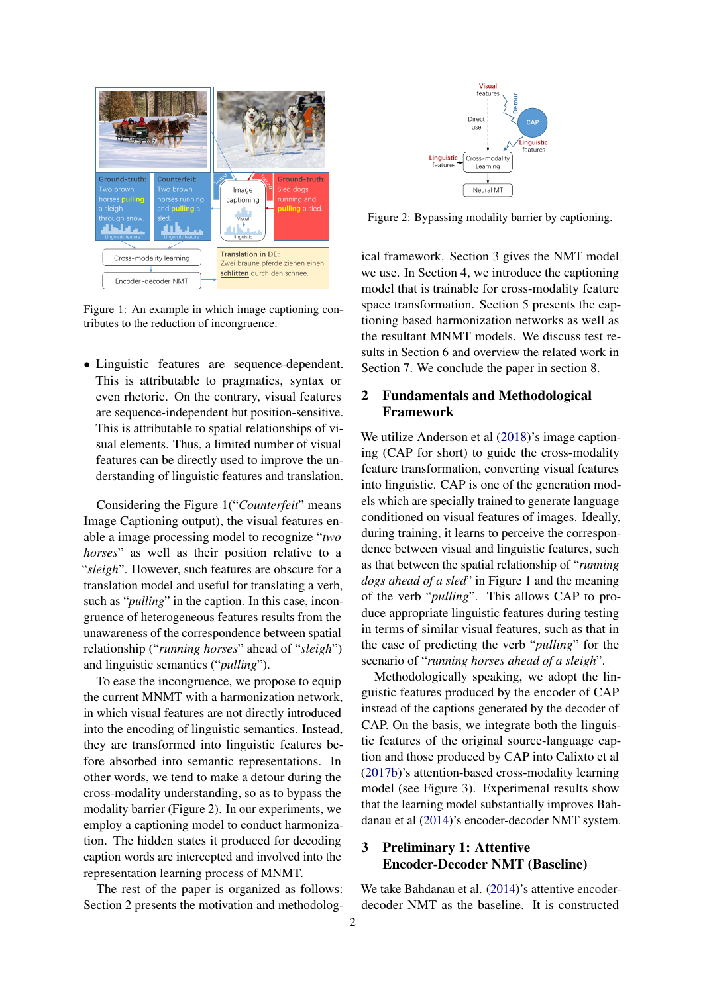

Figure 1: An example in which image captioning contributes to the reduction of incongruence.

• Linguistic features are sequence-dependent. This is attributable to pragmatics, syntax or even rhetoric. On the contrary, visual features are sequence-independent but position-sensitive. This is attributable to spatial relationships of visual elements. Thus, a limited number of visual features can be directly used to improve the understanding of linguistic features and translation.

Considering the Figure 1("*Counterfeit*" means Image Captioning output), the visual features enable a image processing model to recognize "*two horses*" as well as their position relative to a "*sleigh*". However, such features are obscure for a translation model and useful for translating a verb, such as "*pulling*" in the caption. In this case, incongruence of heterogeneous features results from the unawareness of the correspondence between spatial relationship ("*running horses*" ahead of "*sleigh*") and linguistic semantics ("*pulling*").

To ease the incongruence, we propose to equip the current MNMT with a harmonization network, in which visual features are not directly introduced into the encoding of linguistic semantics. Instead, they are transformed into linguistic features before absorbed into semantic representations. In other words, we tend to make a detour during the cross-modality understanding, so as to bypass the modality barrier (Figure 2). In our experiments, we employ a captioning model to conduct harmonization. The hidden states it produced for decoding caption words are intercepted and involved into the representation learning process of MNMT.

The rest of the paper is organized as follows: Section 2 presents the motivation and methodolog-



Figure 2: Bypassing modality barrier by captioning.

ical framework. Section 3 gives the NMT model we use. In Section 4, we introduce the captioning model that is trainable for cross-modality feature space transformation. Section 5 presents the captioning based harmonization networks as well as the resultant MNMT models. We discuss test results in Section 6 and overview the related work in Section 7. We conclude the paper in section 8.

## 2 Fundamentals and Methodological Framework

We utilize Anderson et al  $(2018)$ 's image captioning (CAP for short) to guide the cross-modality feature transformation, converting visual features into linguistic. CAP is one of the generation models which are specially trained to generate language conditioned on visual features of images. Ideally, during training, it learns to perceive the correspondence between visual and linguistic features, such as that between the spatial relationship of "*running dogs ahead of a sled*" in Figure 1 and the meaning of the verb "*pulling*". This allows CAP to produce appropriate linguistic features during testing in terms of similar visual features, such as that in the case of predicting the verb "*pulling*" for the scenario of "*running horses ahead of a sleigh*".

Methodologically speaking, we adopt the linguistic features produced by the encoder of CAP instead of the captions generated by the decoder of CAP. On the basis, we integrate both the linguistic features of the original source-language caption and those produced by CAP into Calixto et al [\(2017b\)](#page-8-4)'s attention-based cross-modality learning model (see Figure 3). Experimenal results show that the learning model substantially improves Bahdanau et al [\(2014\)](#page-8-2)'s encoder-decoder NMT system.

# 3 Preliminary 1: Attentive Encoder-Decoder NMT (Baseline)

We take Bahdanau et al. [\(2014\)](#page-8-2)'s attentive encoderdecoder NMT as the baseline. It is constructed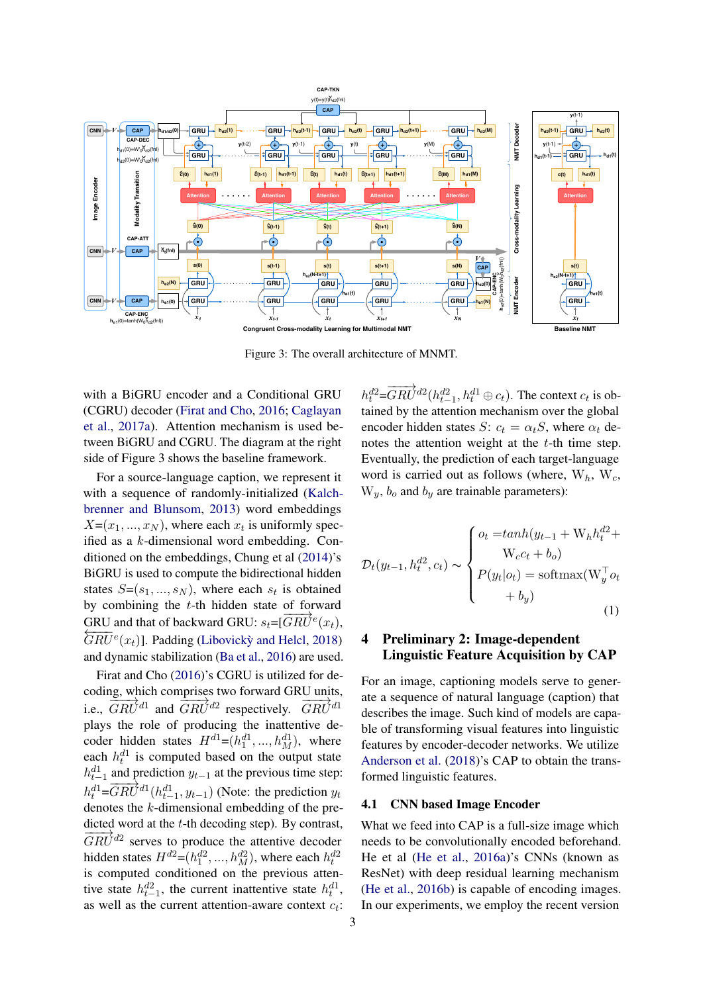

Figure 3: The overall architecture of MNMT.

with a BiGRU encoder and a Conditional GRU (CGRU) decoder [\(Firat and Cho,](#page-8-8) [2016;](#page-8-8) [Caglayan](#page-8-3) [et al.,](#page-8-3) [2017a\)](#page-8-3). Attention mechanism is used between BiGRU and CGRU. The diagram at the right side of Figure 3 shows the baseline framework.

For a source-language caption, we represent it with a sequence of randomly-initialized [\(Kalch](#page-8-9)[brenner and Blunsom,](#page-8-9) [2013\)](#page-8-9) word embeddings  $X=(x_1, ..., x_N)$ , where each  $x_t$  is uniformly specified as a k-dimensional word embedding. Conditioned on the embeddings, Chung et al [\(2014\)](#page-8-10)'s BiGRU is used to compute the bidirectional hidden states  $S = (s_1, ..., s_N)$ , where each  $s_t$  is obtained by combining the  $t$ -th hidden state of forward GRU and that of backward GRU:  $s_t=[\overline{GRU}^e]$ GRU and that of backward GRU:  $s_t = [GRU^e(x_t),\overline{GRU}^e(x_t)]$ . Padding (Libovick) and Helcl, [2018\)](#page-9-4) and dynamic stabilization [\(Ba et al.,](#page-8-11) [2016\)](#page-8-11) are used.

Firat and Cho [\(2016\)](#page-8-8)'s CGRU is utilized for decoding, which comprises two forward GRU units, i.e.,  $\overline{GRU}^{d1}$  and  $\overline{GRU}^{d2}$  respectively.  $\overline{GRU}^{d1}$ plays the role of producing the inattentive decoder hidden states  $H^{d1} = (h_1^{d1}, ..., h_M^{d1})$ , where each  $h_t^{d_1}$  is computed based on the output state  $h_{t-1}^{d_1}$  and prediction  $y_{t-1}$  at the previous time step:  $h_t^{d1} = \overrightarrow{GRU}^{d1}(h_{t-1}^{d1}, y_{t-1})$  (Note: the prediction  $y_t$ ) denotes the k-dimensional embedding of the predicted word at the  $t$ -th decoding step). By contrast,  $\frac{d\vec{c}}{GRU}^{d2}$  serves to produce the attentive decoder hidden states  $H^{d2} = (h_1^{d2}, ..., h_M^{d2})$ , where each  $h_t^{d2}$ is computed conditioned on the previous attentive state  $h_{t-1}^{d2}$ , the current inattentive state  $h_t^{d1}$ , as well as the current attention-aware context  $c_t$ :

 $h_t^{d2} = \overrightarrow{GRU}^{d2} (h_{t-1}^{d2}, h_t^{d1} \oplus c_t)$ . The context  $c_t$  is obtained by the attention mechanism over the global encoder hidden states S:  $c_t = \alpha_t S$ , where  $\alpha_t$  denotes the attention weight at the  $t$ -th time step. Eventually, the prediction of each target-language word is carried out as follows (where,  $W_h$ ,  $W_c$ ,  $W_y$ ,  $b_o$  and  $b_y$  are trainable parameters):

$$
\mathcal{D}_t(y_{t-1}, h_t^{d2}, c_t) \sim \begin{cases} o_t = \tanh(y_{t-1} + \mathbf{W}_h h_t^{d2} + \mathbf{W}_c c_t + b_o) \\ \mathbf{W}_c c_t + b_o) \\ P(y_t | o_t) = \text{softmax}(\mathbf{W}_y^\top o_t \\ + b_y) \end{cases}
$$
(1)

# 4 Preliminary 2: Image-dependent Linguistic Feature Acquisition by CAP

For an image, captioning models serve to generate a sequence of natural language (caption) that describes the image. Such kind of models are capable of transforming visual features into linguistic features by encoder-decoder networks. We utilize [Anderson et al.](#page-8-7) [\(2018\)](#page-8-7)'s CAP to obtain the transformed linguistic features.

### 4.1 CNN based Image Encoder

What we feed into CAP is a full-size image which needs to be convolutionally encoded beforehand. He et al [\(He et al.,](#page-8-12) [2016a\)](#page-8-12)'s CNNs (known as ResNet) with deep residual learning mechanism [\(He et al.,](#page-8-13) [2016b\)](#page-8-13) is capable of encoding images. In our experiments, we employ the recent version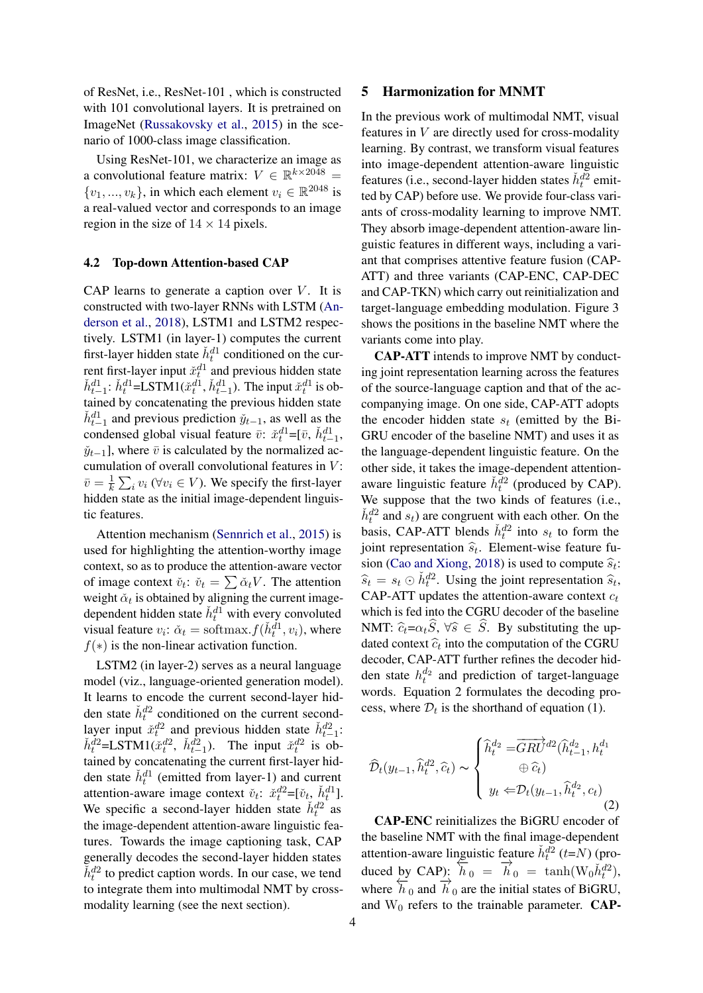of ResNet, i.e., ResNet-101 , which is constructed with 101 convolutional layers. It is pretrained on ImageNet [\(Russakovsky et al.,](#page-9-5) [2015\)](#page-9-5) in the scenario of 1000-class image classification.

Using ResNet-101, we characterize an image as a convolutional feature matrix:  $V \in \mathbb{R}^{k \times 2048}$  =  $\{v_1, ..., v_k\}$ , in which each element  $v_i \in \mathbb{R}^{2048}$  is a real-valued vector and corresponds to an image region in the size of  $14 \times 14$  pixels.

## 4.2 Top-down Attention-based CAP

CAP learns to generate a caption over  $V$ . It is constructed with two-layer RNNs with LSTM [\(An](#page-8-7)[derson et al.,](#page-8-7) [2018\)](#page-8-7), LSTM1 and LSTM2 respectively. LSTM1 (in layer-1) computes the current first-layer hidden state  $\check{h}_t^{d_1}$  conditioned on the current first-layer input  $\check{x}_t^{d_1}$  and previous hidden state  $\check{h}_{t-1}^{d1}$ :  $\check{h}_{t}^{d1}$ =LSTM1( $\check{x}_{t}^{d1}$ ,  $\check{h}_{t-1}^{d1}$ ). The input  $\check{x}_{t}^{d1}$  is obtained by concatenating the previous hidden state  $\check{h}_{t-1}^{d1}$  and previous prediction  $\check{y}_{t-1}$ , as well as the condensed global visual feature  $\bar{v}$ :  $\tilde{x}_t^{d_1} = [\bar{v}, \tilde{h}_{t-1}^{d_1}]$ ,  $\check{y}_{t-1}$ ], where  $\bar{v}$  is calculated by the normalized accumulation of overall convolutional features in  $V$ :  $\bar{v} = \frac{1}{k}$  $\frac{1}{k} \sum_i v_i \ (\forall v_i \in V)$ . We specify the first-layer hidden state as the initial image-dependent linguistic features.

Attention mechanism [\(Sennrich et al.,](#page-9-6) [2015\)](#page-9-6) is used for highlighting the attention-worthy image context, so as to produce the attention-aware vector of image context  $\check{v}_t$ :  $\check{v}_t = \sum \check{\alpha}_t V$ . The attention weight  $\check{\alpha}_t$  is obtained by aligning the current imagedependent hidden state  $\check{h}_t^{d_1}$  with every convoluted visual feature  $v_i$ :  $\check{\alpha}_t = \text{softmax}.f(\check{h}_t^{d_1}, v_i)$ , where  $f(*)$  is the non-linear activation function.

LSTM2 (in layer-2) serves as a neural language model (viz., language-oriented generation model). It learns to encode the current second-layer hidden state  $\check{h}_t^{d2}$  conditioned on the current secondlayer input  $\check{x}_t^{d2}$  and previous hidden state  $\check{h}_{t-1}^{d2}$ :  $\check{h}_t^{d2} = \text{LSTM1}(\check{x}_t^{d2}, \check{h}_{t-1}^{d2}).$  The input  $\check{x}_t^{d2}$  is obtained by concatenating the current first-layer hidden state  $\check{h}_t^{d_1}$  (emitted from layer-1) and current attention-aware image context  $\check{v}_t$ :  $\check{x}_t^{d2} = [\check{v}_t, \check{h}_t^{d1}]$ . We specific a second-layer hidden state  $\check{h}_t^{d2}$  as the image-dependent attention-aware linguistic features. Towards the image captioning task, CAP generally decodes the second-layer hidden states  $\tilde{h}_t^{d2}$  to predict caption words. In our case, we tend to integrate them into multimodal NMT by crossmodality learning (see the next section).

### 5 Harmonization for MNMT

In the previous work of multimodal NMT, visual features in  $V$  are directly used for cross-modality learning. By contrast, we transform visual features into image-dependent attention-aware linguistic features (i.e., second-layer hidden states  $\check{h}_t^{d_2}$  emitted by CAP) before use. We provide four-class variants of cross-modality learning to improve NMT. They absorb image-dependent attention-aware linguistic features in different ways, including a variant that comprises attentive feature fusion (CAP-ATT) and three variants (CAP-ENC, CAP-DEC and CAP-TKN) which carry out reinitialization and target-language embedding modulation. Figure 3 shows the positions in the baseline NMT where the variants come into play.

CAP-ATT intends to improve NMT by conducting joint representation learning across the features of the source-language caption and that of the accompanying image. On one side, CAP-ATT adopts the encoder hidden state  $s_t$  (emitted by the Bi-GRU encoder of the baseline NMT) and uses it as the language-dependent linguistic feature. On the other side, it takes the image-dependent attentionaware linguistic feature  $\check{h}_t^{d_2}$  (produced by CAP). We suppose that the two kinds of features (i.e.,  $\check{h}_t^{d2}$  and  $s_t$ ) are congruent with each other. On the basis, CAP-ATT blends  $\check{h}_t^{d2}$  into  $s_t$  to form the joint representation  $\hat{s}_t$ . Element-wise feature fu-<br>reject (Cas and Vience 2018) is used to compute  $\hat{s}_t$ . sion [\(Cao and Xiong,](#page-8-14) [2018\)](#page-8-14) is used to compute  $\hat{s}_t$ :<br>  $\hat{s}_t = s \odot \hat{h}^{d2}$ . Using the joint representation  $\hat{s}_t$ .  $\hat{s}_t = s_t \odot \check{h}_t^{d2}$ . Using the joint representation  $\hat{s}_t$ , CAP-ATT updates the attention-aware context  $c_t$ which is fed into the CGRU decoder of the baseline NMT:  $\hat{c}_t = \alpha_t \hat{S}$ ,  $\forall \hat{s} \in \hat{S}$ . By substituting the updated context  $\hat{c}_t$  into the computation of the CGRU decoder hid decoder, CAP-ATT further refines the decoder hidden state  $h_t^{d_2}$  and prediction of target-language words. Equation 2 formulates the decoding process, where  $\mathcal{D}_t$  is the shorthand of equation (1).

$$
\widehat{\mathcal{D}}_t(y_{t-1}, \widehat{h}_t^{d2}, \widehat{c}_t) \sim \begin{cases} \widehat{h}_t^{d_2} = \overrightarrow{GRU}^{d2}(\widehat{h}_{t-1}^{d_2}, h_t^{d_1}) \\ \oplus \widehat{c}_t) \\ y_t \Leftarrow \mathcal{D}_t(y_{t-1}, \widehat{h}_t^{d_2}, c_t) \end{cases} \tag{2}
$$

CAP-ENC reinitializes the BiGRU encoder of the baseline NMT with the final image-dependent attention-aware linguistic feature  $\tilde{h}_t^{d2}$  (t=N) (produced by CAP):  $\overrightarrow{h}_0 = \overrightarrow{h}_0 = \tanh(W_0 \tilde{h}_t^{d2}),$ where  $\overleftrightarrow{h}_0$  and  $\overrightarrow{h}_0$  are the initial states of BiGRU, and  $W_0$  refers to the trainable parameter. **CAP-**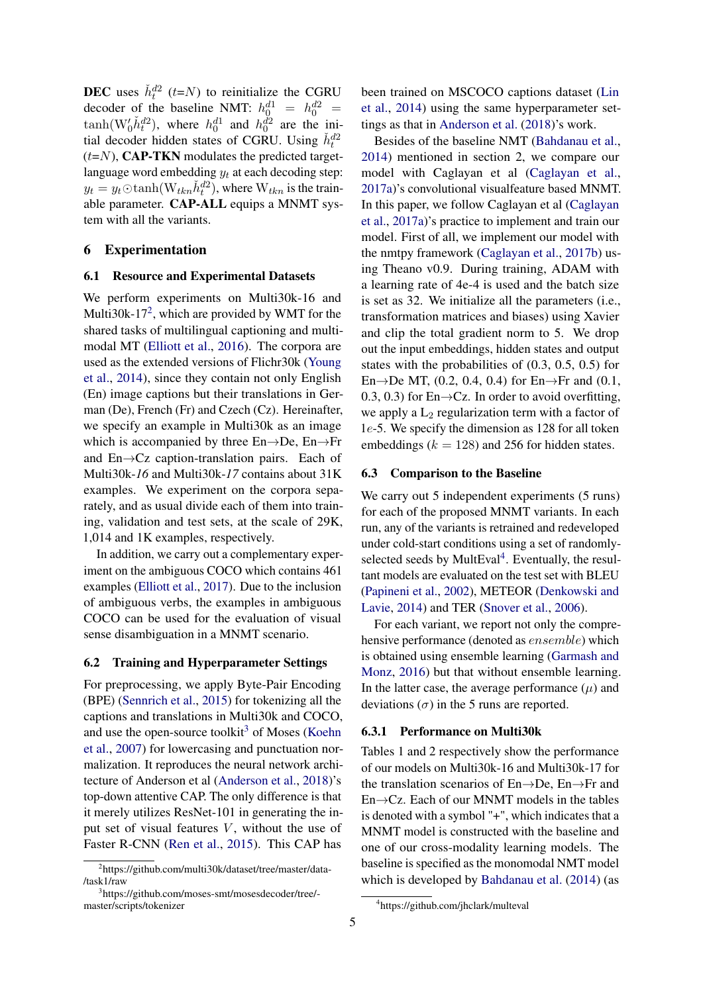**DEC** uses  $\check{h}_t^{d2}$  (*t*=N) to reinitialize the CGRU decoder of the baseline NMT:  $h_0^{d1} = h_0^{d2} =$  $\tanh(W_0'h_t^{d_2})$ , where  $h_0^{d_1}$  and  $h_0^{d_2}$  are the initial decoder hidden states of CGRU. Using  $\check{h}_t^{d2}$  $(t=N)$ , CAP-TKN modulates the predicted targetlanguage word embedding  $y_t$  at each decoding step:  $y_t = y_t \text{O} \tanh(\text{W}_{tkn} \check{h}_t^{d2})$ , where  $\text{W}_{tkn}$  is the trainable parameter. CAP-ALL equips a MNMT system with all the variants.

### 6 Experimentation

### 6.1 Resource and Experimental Datasets

We perform experiments on Multi30k-16 and Multi30k-17<sup>[2](#page-0-0)</sup>, which are provided by WMT for the shared tasks of multilingual captioning and multimodal MT [\(Elliott et al.,](#page-8-15) [2016\)](#page-8-15). The corpora are used as the extended versions of Flichr30k [\(Young](#page-9-7) [et al.,](#page-9-7) [2014\)](#page-9-7), since they contain not only English (En) image captions but their translations in German (De), French (Fr) and Czech (Cz). Hereinafter, we specify an example in Multi30k as an image which is accompanied by three  $En \rightarrow De$ ,  $En \rightarrow Fr$ and En→Cz caption-translation pairs. Each of Multi30k-*16* and Multi30k-*17* contains about 31K examples. We experiment on the corpora separately, and as usual divide each of them into training, validation and test sets, at the scale of 29K, 1,014 and 1K examples, respectively.

In addition, we carry out a complementary experiment on the ambiguous COCO which contains 461 examples [\(Elliott et al.,](#page-8-16) [2017\)](#page-8-16). Due to the inclusion of ambiguous verbs, the examples in ambiguous COCO can be used for the evaluation of visual sense disambiguation in a MNMT scenario.

## 6.2 Training and Hyperparameter Settings

For preprocessing, we apply Byte-Pair Encoding (BPE) [\(Sennrich et al.,](#page-9-6) [2015\)](#page-9-6) for tokenizing all the captions and translations in Multi30k and COCO, and use the open-source toolkit<sup>[3](#page-0-0)</sup> of Moses [\(Koehn](#page-9-8) [et al.,](#page-9-8) [2007\)](#page-9-8) for lowercasing and punctuation normalization. It reproduces the neural network architecture of Anderson et al [\(Anderson et al.,](#page-8-7) [2018\)](#page-8-7)'s top-down attentive CAP. The only difference is that it merely utilizes ResNet-101 in generating the input set of visual features  $V$ , without the use of Faster R-CNN [\(Ren et al.,](#page-9-9) [2015\)](#page-9-9). This CAP has

been trained on MSCOCO captions dataset [\(Lin](#page-9-10) [et al.,](#page-9-10) [2014\)](#page-9-10) using the same hyperparameter settings as that in [Anderson et al.](#page-8-7) [\(2018\)](#page-8-7)'s work.

Besides of the baseline NMT [\(Bahdanau et al.,](#page-8-2) [2014\)](#page-8-2) mentioned in section 2, we compare our model with Caglayan et al [\(Caglayan et al.,](#page-8-3) [2017a\)](#page-8-3)'s convolutional visualfeature based MNMT. In this paper, we follow Caglayan et al [\(Caglayan](#page-8-3) [et al.,](#page-8-3) [2017a\)](#page-8-3)'s practice to implement and train our model. First of all, we implement our model with the nmtpy framework [\(Caglayan et al.,](#page-8-17) [2017b\)](#page-8-17) using Theano v0.9. During training, ADAM with a learning rate of 4e-4 is used and the batch size is set as 32. We initialize all the parameters (i.e., transformation matrices and biases) using Xavier and clip the total gradient norm to 5. We drop out the input embeddings, hidden states and output states with the probabilities of (0.3, 0.5, 0.5) for En $\rightarrow$ De MT, (0.2, 0.4, 0.4) for En $\rightarrow$ Fr and (0.1, 0.3, 0.3) for  $En \rightarrow Cz$ . In order to avoid overfitting, we apply a  $L_2$  regularization term with a factor of 1e-5. We specify the dimension as 128 for all token embeddings ( $k = 128$ ) and 256 for hidden states.

### 6.3 Comparison to the Baseline

We carry out 5 independent experiments  $(5 \text{ runs})$ for each of the proposed MNMT variants. In each run, any of the variants is retrained and redeveloped under cold-start conditions using a set of randomly-selected seeds by MultEval<sup>[4](#page-0-0)</sup>. Eventually, the resultant models are evaluated on the test set with BLEU [\(Papineni et al.,](#page-9-11) [2002\)](#page-9-11), METEOR [\(Denkowski and](#page-8-18) [Lavie,](#page-8-18) [2014\)](#page-8-18) and TER [\(Snover et al.,](#page-9-12) [2006\)](#page-9-12).

For each variant, we report not only the comprehensive performance (denoted as ensemble) which is obtained using ensemble learning [\(Garmash and](#page-8-19) [Monz,](#page-8-19) [2016\)](#page-8-19) but that without ensemble learning. In the latter case, the average performance  $(\mu)$  and deviations  $(\sigma)$  in the 5 runs are reported.

### 6.3.1 Performance on Multi30k

Tables 1 and 2 respectively show the performance of our models on Multi30k-16 and Multi30k-17 for the translation scenarios of En→De, En→Fr and En→Cz. Each of our MNMT models in the tables is denoted with a symbol "+", which indicates that a MNMT model is constructed with the baseline and one of our cross-modality learning models. The baseline is specified as the monomodal NMT model which is developed by [Bahdanau et al.](#page-8-2) [\(2014\)](#page-8-2) (as

<sup>2</sup> https://github.com/multi30k/dataset/tree/master/data- /task1/raw

<sup>3</sup> https://github.com/moses-smt/mosesdecoder/tree/ master/scripts/tokenizer

<sup>4</sup> https://github.com/jhclark/multeval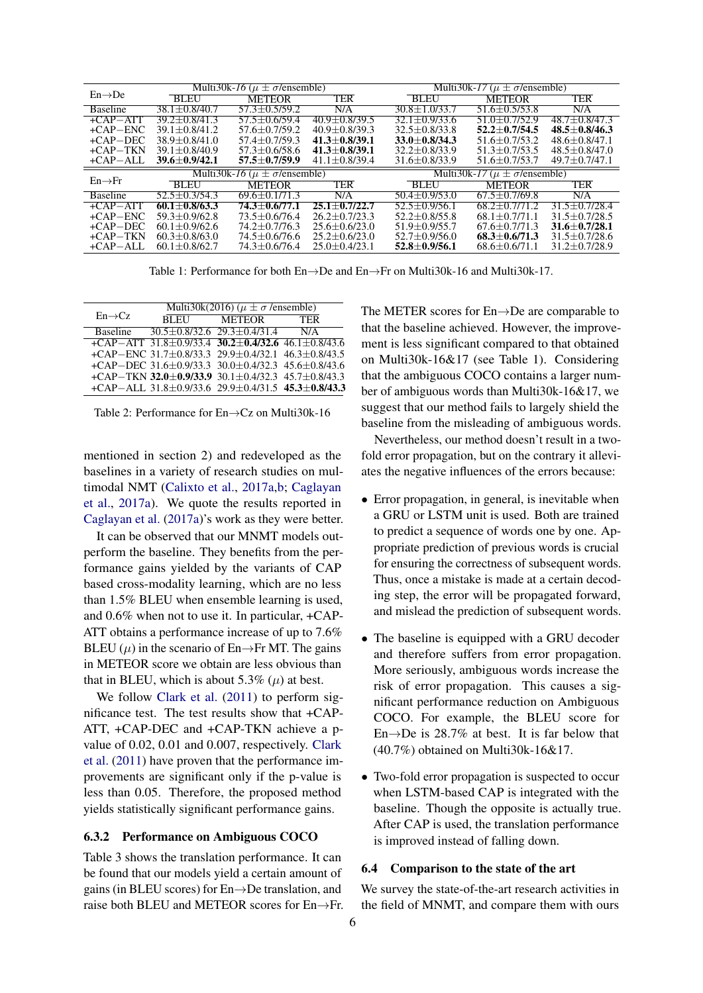|                     | Multi30k-16 ( $\mu \pm \sigma$ /ensemble) |                   |                   | Multi30k-17 ( $\mu \pm \sigma$ /ensemble) |                     |                   |
|---------------------|-------------------------------------------|-------------------|-------------------|-------------------------------------------|---------------------|-------------------|
| $En \rightarrow De$ | <b>BLEU</b>                               | <b>METEOR</b>     | <b>TER</b>        | <b>BLEU</b>                               | <b>METEOR</b>       | <b>TER</b>        |
| <b>Baseline</b>     | $38.1 + 0.8/40.7$                         | 57.3+0.5/59.2     | N/A               | $30.8 \pm 1.0/33.7$                       | $51.6 \pm 0.5/53.8$ | N/A               |
| $+CAP-ATT$          | $39.2 + 0.8/41.3$                         | $57.5 + 0.6/59.4$ | $40.9 + 0.8/39.5$ | $32.1 + 0.9/33.6$                         | $51.0 + 0.7/52.9$   | $48.7 + 0.8/47.3$ |
| $+CAP-ENC$          | $39.1 + 0.8/41.2$                         | $57.6 + 0.7/59.2$ | $40.9 + 0.8/39.3$ | $32.5 \pm 0.8/33.8$                       | $52.2 + 0.7/54.5$   | $48.5 + 0.8/46.3$ |
| $+CAP-DEC$          | $38.9 + 0.8/41.0$                         | $57.4 + 0.7/59.3$ | $41.3 + 0.8/39.1$ | $33.0 + 0.8/34.3$                         | $51.6 + 0.7/53.2$   | $48.6 + 0.8/47.1$ |
| $+CAP-TKN$          | $39.1 + 0.8/40.9$                         | $57.3 + 0.6/58.6$ | $41.3 + 0.8/39.1$ | $32.2 + 0.8/33.9$                         | $51.3 + 0.7/53.5$   | $48.5 + 0.8/47.0$ |
| $+CAP-AIL$          | $39.6 + 0.9/42.1$                         | $57.5 + 0.7/59.9$ | $41.1 + 0.8/39.4$ | $31.6 + 0.8/33.9$                         | $51.6 + 0.7/53.7$   | $49.7 + 0.7/47.1$ |
| $En \rightarrow Fr$ | Multi30k-16 ( $\mu \pm \sigma$ /ensemble) |                   |                   | Multi30k-17 ( $\mu \pm \sigma$ /ensemble) |                     |                   |
|                     | <b>BLEU</b>                               | <b>METEOR</b>     | <b>TER</b>        | <b>BLEU</b>                               | <b>METEOR</b>       | <b>TER</b>        |
| <b>Baseline</b>     | $52.5 + 0.3/54.3$                         | $69.6 + 0.1/71.3$ | N/A               | $50.4 + 0.9/53.0$                         | $67.5 + 0.7/69.8$   | N/A               |
| $+$ CAP $-$ ATT     | $60.1 + 0.8/63.3$                         | 74.3+0.6/77.1     | $25.1 + 0.7/22.7$ | 52.5+0.9/56.1                             | 68.2+0.7/71.2       | $31.5 + 0.7/28.4$ |
| $+CAP-ENC$          | $59.3 + 0.9/62.8$                         | $73.5 + 0.6/76.4$ | $26.2 + 0.7/23.3$ | $52.2 + 0.8/55.8$                         | $68.1 + 0.7/71.1$   | $31.5 + 0.7/28.5$ |
| $+$ CAP $-$ DEC     | $60.1 + 0.9/62.6$                         | $74.2 + 0.7/76.3$ | $25.6 + 0.6/23.0$ | $51.9 + 0.9/55.7$                         | $67.6 + 0.7/71.3$   | $31.6 + 0.7/28.1$ |
| $+CAP-TKN$          | $60.3 + 0.8/63.0$                         | $74.5 + 0.6/76.6$ | $25.2 + 0.6/23.0$ | $52.7 + 0.9/56.0$                         | $68.3 + 0.6/71.3$   | $31.5 + 0.7/28.6$ |
| $+CAP-AIL$          | $60.1 + 0.8/62.7$                         | $74.3 + 0.6/76.4$ | $25.0 + 0.4/23.1$ | $52.8 + 0.9/56.1$                         | $68.6 + 0.671.1$    | $31.2 + 0.7/28.9$ |

Table 1: Performance for both En→De and En→Fr on Multi30k-16 and Multi30k-17.

| Multi30k(2016) ( $\mu \pm \sigma$ /ensemble) |  |                                                                                                                                                                                                                                                                                                                                                                         |  |  |
|----------------------------------------------|--|-------------------------------------------------------------------------------------------------------------------------------------------------------------------------------------------------------------------------------------------------------------------------------------------------------------------------------------------------------------------------|--|--|
| <b>BLEU</b>                                  |  |                                                                                                                                                                                                                                                                                                                                                                         |  |  |
|                                              |  |                                                                                                                                                                                                                                                                                                                                                                         |  |  |
|                                              |  |                                                                                                                                                                                                                                                                                                                                                                         |  |  |
|                                              |  |                                                                                                                                                                                                                                                                                                                                                                         |  |  |
|                                              |  |                                                                                                                                                                                                                                                                                                                                                                         |  |  |
|                                              |  |                                                                                                                                                                                                                                                                                                                                                                         |  |  |
|                                              |  |                                                                                                                                                                                                                                                                                                                                                                         |  |  |
|                                              |  | METEOR TER<br>$30.5 \pm 0.8$ /32.6 29.3 $\pm 0.4$ /31.4 N/A<br>+CAP-ATT 31.8±0.9/33.4 30.2±0.4/32.6 46.1±0.8/43.6<br>+CAP-ENC 31.7 $\pm$ 0.8/33.3 29.9 $\pm$ 0.4/32.1 46.3 $\pm$ 0.8/43.5<br>+CAP-DEC 31.6±0.9/33.3 30.0±0.4/32.3 45.6±0.8/43.6<br>+CAP-TKN 32.0±0.9/33.9 30.1±0.4/32.3 45.7±0.8/43.3<br>+CAP-ALL $31.8\pm0.9/33.6$ $29.9\pm0.4/31.5$ $45.3\pm0.8/43.3$ |  |  |

Table 2: Performance for En→Cz on Multi30k-16

mentioned in section 2) and redeveloped as the baselines in a variety of research studies on multimodal NMT [\(Calixto et al.,](#page-8-5) [2017a](#page-8-5)[,b;](#page-8-4) [Caglayan](#page-8-3) [et al.,](#page-8-3) [2017a\)](#page-8-3). We quote the results reported in [Caglayan et al.](#page-8-3) [\(2017a\)](#page-8-3)'s work as they were better.

It can be observed that our MNMT models outperform the baseline. They benefits from the performance gains yielded by the variants of CAP based cross-modality learning, which are no less than 1.5% BLEU when ensemble learning is used, and 0.6% when not to use it. In particular, +CAP-ATT obtains a performance increase of up to 7.6% BLEU  $(\mu)$  in the scenario of En→Fr MT. The gains in METEOR score we obtain are less obvious than that in BLEU, which is about 5.3%  $(\mu)$  at best.

We follow [Clark et al.](#page-8-20) [\(2011\)](#page-8-20) to perform significance test. The test results show that +CAP-ATT, +CAP-DEC and +CAP-TKN achieve a pvalue of 0.02, 0.01 and 0.007, respectively. [Clark](#page-8-20) [et al.](#page-8-20) [\(2011\)](#page-8-20) have proven that the performance improvements are significant only if the p-value is less than 0.05. Therefore, the proposed method yields statistically significant performance gains.

### 6.3.2 Performance on Ambiguous COCO

Table 3 shows the translation performance. It can be found that our models yield a certain amount of gains (in BLEU scores) for En→De translation, and raise both BLEU and METEOR scores for  $En \rightarrow Fr$ . The METER scores for En→De are comparable to that the baseline achieved. However, the improvement is less significant compared to that obtained on Multi30k-16&17 (see Table 1). Considering that the ambiguous COCO contains a larger number of ambiguous words than Multi30k-16&17, we suggest that our method fails to largely shield the baseline from the misleading of ambiguous words.

Nevertheless, our method doesn't result in a twofold error propagation, but on the contrary it alleviates the negative influences of the errors because:

- Error propagation, in general, is inevitable when a GRU or LSTM unit is used. Both are trained to predict a sequence of words one by one. Appropriate prediction of previous words is crucial for ensuring the correctness of subsequent words. Thus, once a mistake is made at a certain decoding step, the error will be propagated forward, and mislead the prediction of subsequent words.
- The baseline is equipped with a GRU decoder and therefore suffers from error propagation. More seriously, ambiguous words increase the risk of error propagation. This causes a significant performance reduction on Ambiguous COCO. For example, the BLEU score for En $\rightarrow$ De is 28.7% at best. It is far below that (40.7%) obtained on Multi30k-16&17.
- Two-fold error propagation is suspected to occur when LSTM-based CAP is integrated with the baseline. Though the opposite is actually true. After CAP is used, the translation performance is improved instead of falling down.

### 6.4 Comparison to the state of the art

We survey the state-of-the-art research activities in the field of MNMT, and compare them with ours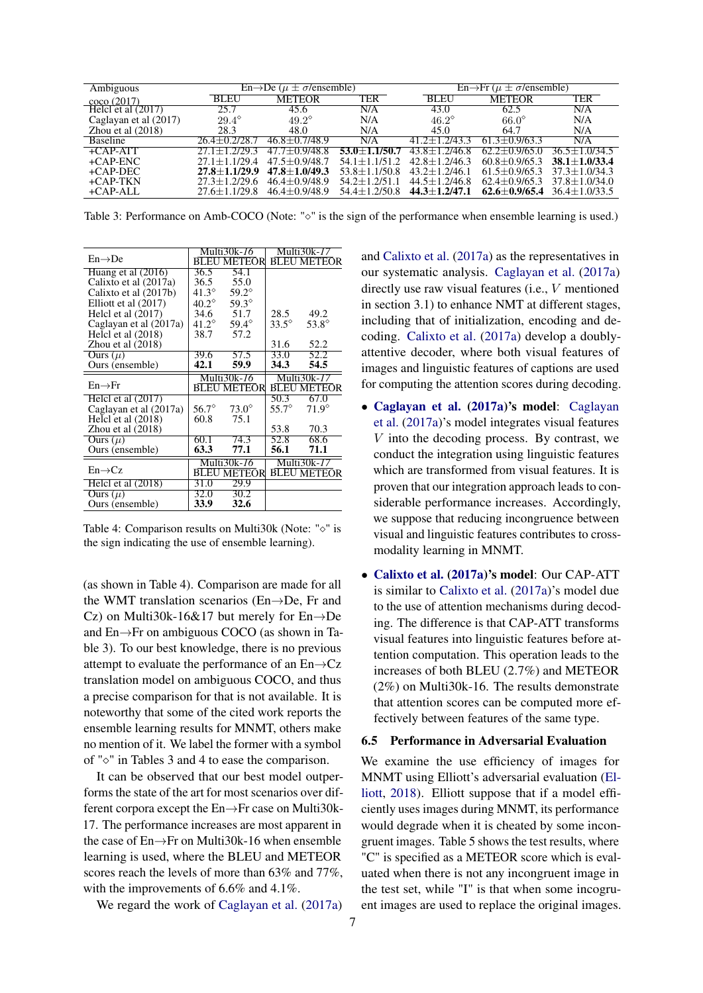| Ambiguous             |                   | $En \rightarrow De$ ( $\mu \pm \sigma$ /ensemble) |                   | $En \rightarrow Fr$ ( $\mu \pm \sigma$ /ensemble) |                   |                                   |  |
|-----------------------|-------------------|---------------------------------------------------|-------------------|---------------------------------------------------|-------------------|-----------------------------------|--|
| coco(2017)            | <b>BLEU</b>       | <b>METEOR</b>                                     | TER               | <b>BLEU</b>                                       | <b>METEOR</b>     | <b>TER</b>                        |  |
| Helcl et al (2017)    | 25.7              | 45.6                                              | N/A               | 43.0                                              | 62.5              | N/A                               |  |
| Caglayan et al (2017) | $29.4^{\circ}$    | $49.2^\circ$                                      | N/A               | $46.2^\circ$                                      | $66.0^\circ$      | N/A                               |  |
| Zhou et al $(2018)$   | 28.3              | 48.0                                              | N/A               | 45.0                                              | 64.7              | N/A                               |  |
| <b>Baseline</b>       | $26.4 + 0.2$      | $46.8 + 0.7/48.9$                                 | N/A               | -2743-3<br>$2+$                                   | $61.3 + 0.9/63.3$ | N/A                               |  |
| $+$ CAP-ATT           |                   | $477 + 09/488$                                    | $53.0 + 1.1/50.7$ | $43.8 + 1.2/46.8$                                 | $62.2 + 0.9/65.0$ | $36.5 + 1.0/34.5$                 |  |
| $+CAP-ENC$            | $27.1 + 1.1/29.4$ | $47.5 + 0.9/48.7$                                 | $54.1 + 1.1/51.2$ | $42.8 + 1.2/46.3$                                 | $60.8 + 0.9/65.3$ | $38.1 + 1.0/33.4$                 |  |
| $+$ CAP-DEC           | $27.8 + 1.1/29.9$ | $47.8 + 1.0/49.3$                                 | $53.8 + 1.1/50.8$ | $43.2 + 1.2/46.1$                                 | $61.5 + 0.9/65.3$ | $37.3 + 1.0/34.3$                 |  |
| $+CAP-TKN$            | $27.3 + 1.2/29.6$ | $46.4 + 0.9/48.9$                                 | $542+12/511$      | $44.5 + 1.2/46.8$                                 | $62.4 + 0.9/65.3$ | $37.8 + 1.0/34.0$                 |  |
| +CAP-ALL              | $27.6 + 1.1/29.8$ | $46.4 + 0.9/48.9$                                 | $54.4 + 1.2/50.8$ | $44.3 + 1.2/47.1$                                 |                   | $62.6 + 0.9/65.4$ 36.4 + 1.0/33.5 |  |

Table 3: Performance on Amb-COCO (Note: " $\circ$ " is the sign of the performance when ensemble learning is used.)

|                        | Multi30k- <i>16</i> |                    | Multi30k-17    |                    |
|------------------------|---------------------|--------------------|----------------|--------------------|
| $En \rightarrow De$    |                     | <b>BLEU METEOR</b> |                | <b>BLEU METEOR</b> |
| Huang et al $(2016)$   | 36.5                | 54.1               |                |                    |
| Calixto et al (2017a)  | 36.5                | 55.0               |                |                    |
| Calixto et al (2017b)  | $41.3^{\circ}$      | $59.2^\circ$       |                |                    |
| Elliott et al (2017)   | $40.2^\circ$        | $59.3^\circ$       |                |                    |
| Helcl et al $(2017)$   | 34.6                | 51.7               | 28.5           | 49.2               |
| Caglayan et al (2017a) | 41.2 $^{\circ}$     | $59.4^\circ$       | $33.5^{\circ}$ | $53.8^\circ$       |
| Helcl et al $(2018)$   | 38.7                | 57.2               |                |                    |
| Zhou et al $(2018)$    |                     |                    | 31.6           | 52.2               |
| Ours $(\mu)$           | 39.6                | 57.5               | 33.0           | 52.2               |
| Ours (ensemble)        | 42.1                | 59.9               | 34.3           | 54.5               |
|                        | Multi30k-16         |                    | Multi30k-17    |                    |
| $En \rightarrow Fr$    |                     | <b>BLEU METEOR</b> |                | <b>BLEU METEOR</b> |
| Helcl et al $(2017)$   |                     |                    | 50.3           | 67.0               |
| Caglayan et al (2017a) | $56.7^\circ$        | $73.0^\circ$       | $55.7^\circ$   | $71.9^\circ$       |
| Helcl et al $(2018)$   | 60.8                | 75.1               |                |                    |
| Zhou et al $(2018)$    |                     |                    | 53.8           | 70.3               |
| Ours $(\mu)$           | 60.1                | 74.3               | 52.8           | 68.6               |
| Ours (ensemble)        | 63.3                | 77.1               | 56.1           | 71.1               |
|                        | Multi30k- <i>16</i> |                    | Multi30k-17    |                    |
| $En \rightarrow Cz$    | BLEU METEOR         |                    |                | <b>BLEU METEOR</b> |
| Helcl et al (2018)     | 31.0                | 29.9               |                |                    |
| Ours $(\mu)$           | 32.0                | 30.2               |                |                    |
| Ours (ensemble)        | 33.9                | 32.6               |                |                    |

Table 4: Comparison results on Multi30k (Note: " $\diamond$ " is the sign indicating the use of ensemble learning).

(as shown in Table 4). Comparison are made for all the WMT translation scenarios (En→De, Fr and Cz) on Multi30k-16&17 but merely for  $En \rightarrow De$ and En→Fr on ambiguous COCO (as shown in Table 3). To our best knowledge, there is no previous attempt to evaluate the performance of an En→Cz translation model on ambiguous COCO, and thus a precise comparison for that is not available. It is noteworthy that some of the cited work reports the ensemble learning results for MNMT, others make no mention of it. We label the former with a symbol of " $\circ$ " in Tables 3 and 4 to ease the comparison.

It can be observed that our best model outperforms the state of the art for most scenarios over different corpora except the En→Fr case on Multi30k-17. The performance increases are most apparent in the case of En→Fr on Multi30k-16 when ensemble learning is used, where the BLEU and METEOR scores reach the levels of more than 63% and 77%, with the improvements of 6.6% and 4.1%.

We regard the work of [Caglayan et al.](#page-8-3) [\(2017a\)](#page-8-3)

and [Calixto et al.](#page-8-5) [\(2017a\)](#page-8-5) as the representatives in our systematic analysis. [Caglayan et al.](#page-8-3) [\(2017a\)](#page-8-3) directly use raw visual features (i.e., V mentioned in section 3.1) to enhance NMT at different stages, including that of initialization, encoding and decoding. [Calixto et al.](#page-8-5) [\(2017a\)](#page-8-5) develop a doublyattentive decoder, where both visual features of images and linguistic features of captions are used for computing the attention scores during decoding.

- [Caglayan et al.](#page-8-3) [\(2017a\)](#page-8-3)'s model: [Caglayan](#page-8-3) [et al.](#page-8-3) [\(2017a\)](#page-8-3)'s model integrates visual features V into the decoding process. By contrast, we conduct the integration using linguistic features which are transformed from visual features. It is proven that our integration approach leads to considerable performance increases. Accordingly, we suppose that reducing incongruence between visual and linguistic features contributes to crossmodality learning in MNMT.
- [Calixto et al.](#page-8-5) [\(2017a\)](#page-8-5)'s model: Our CAP-ATT is similar to [Calixto et al.](#page-8-5) [\(2017a\)](#page-8-5)'s model due to the use of attention mechanisms during decoding. The difference is that CAP-ATT transforms visual features into linguistic features before attention computation. This operation leads to the increases of both BLEU (2.7%) and METEOR (2%) on Multi30k-16. The results demonstrate that attention scores can be computed more effectively between features of the same type.

### 6.5 Performance in Adversarial Evaluation

We examine the use efficiency of images for MNMT using Elliott's adversarial evaluation [\(El](#page-8-21)[liott,](#page-8-21) [2018\)](#page-8-21). Elliott suppose that if a model efficiently uses images during MNMT, its performance would degrade when it is cheated by some incongruent images. Table 5 shows the test results, where "C" is specified as a METEOR score which is evaluated when there is not any incongruent image in the test set, while "I" is that when some incogruent images are used to replace the original images.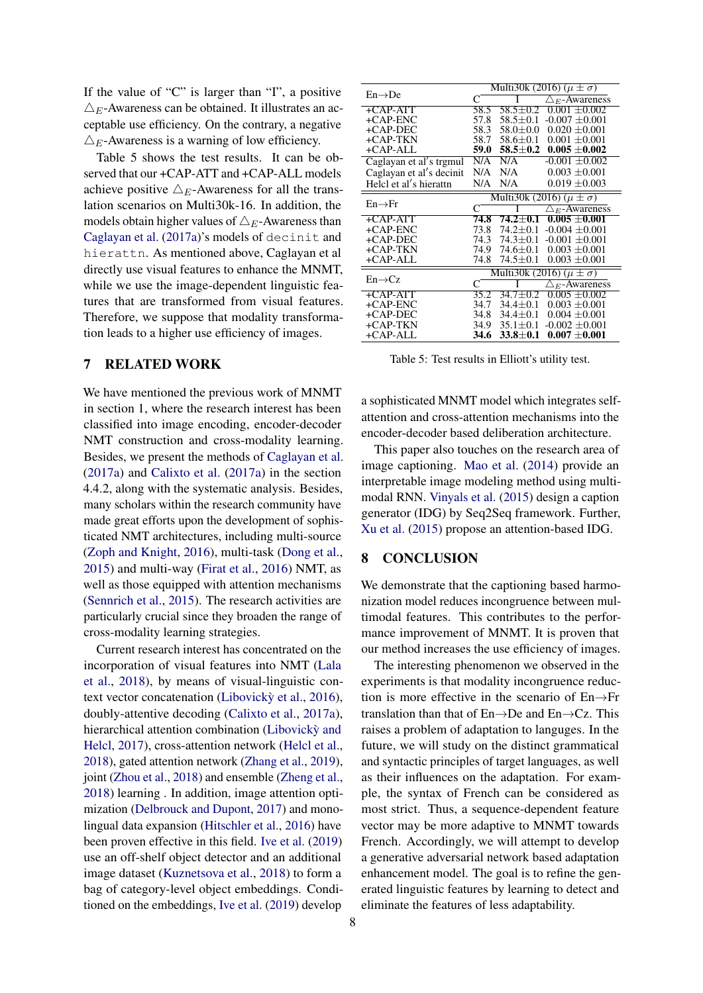If the value of "C" is larger than "I", a positive  $\triangle_E$ -Awareness can be obtained. It illustrates an acceptable use efficiency. On the contrary, a negative  $\triangle_E$ -Awareness is a warning of low efficiency.

Table 5 shows the test results. It can be observed that our +CAP-ATT and +CAP-ALL models achieve positive  $\triangle_E$ -Awareness for all the translation scenarios on Multi30k-16. In addition, the models obtain higher values of  $\triangle_E$ -Awareness than [Caglayan et al.](#page-8-3) [\(2017a\)](#page-8-3)'s models of decinit and hierattn. As mentioned above, Caglayan et al directly use visual features to enhance the MNMT, while we use the image-dependent linguistic features that are transformed from visual features. Therefore, we suppose that modality transformation leads to a higher use efficiency of images.

# 7 RELATED WORK

We have mentioned the previous work of MNMT in section 1, where the research interest has been classified into image encoding, encoder-decoder NMT construction and cross-modality learning. Besides, we present the methods of [Caglayan et al.](#page-8-3) [\(2017a\)](#page-8-3) and [Calixto et al.](#page-8-5) [\(2017a\)](#page-8-5) in the section 4.4.2, along with the systematic analysis. Besides, many scholars within the research community have made great efforts upon the development of sophisticated NMT architectures, including multi-source [\(Zoph and Knight,](#page-9-13) [2016\)](#page-9-13), multi-task [\(Dong et al.,](#page-8-22) [2015\)](#page-8-22) and multi-way [\(Firat et al.,](#page-8-23) [2016\)](#page-8-23) NMT, as well as those equipped with attention mechanisms [\(Sennrich et al.,](#page-9-6) [2015\)](#page-9-6). The research activities are particularly crucial since they broaden the range of cross-modality learning strategies.

Current research interest has concentrated on the incorporation of visual features into NMT [\(Lala](#page-9-14) [et al.,](#page-9-14) [2018\)](#page-9-14), by means of visual-linguistic con-text vector concatenation (Libovickỳ et al., [2016\)](#page-9-15), doubly-attentive decoding [\(Calixto et al.,](#page-8-5) [2017a\)](#page-8-5), hierarchical attention combination [\(Libovicky and](#page-9-16) [Helcl,](#page-9-16) [2017\)](#page-9-16), cross-attention network [\(Helcl et al.,](#page-8-24) [2018\)](#page-8-24), gated attention network [\(Zhang et al.,](#page-9-17) [2019\)](#page-9-17), joint [\(Zhou et al.,](#page-9-3) [2018\)](#page-9-3) and ensemble [\(Zheng et al.,](#page-9-18) [2018\)](#page-9-18) learning . In addition, image attention optimization [\(Delbrouck and Dupont,](#page-8-25) [2017\)](#page-8-25) and monolingual data expansion [\(Hitschler et al.,](#page-8-6) [2016\)](#page-8-6) have been proven effective in this field. [Ive et al.](#page-8-26) [\(2019\)](#page-8-26) use an off-shelf object detector and an additional image dataset [\(Kuznetsova et al.,](#page-9-19) [2018\)](#page-9-19) to form a bag of category-level object embeddings. Conditioned on the embeddings, [Ive et al.](#page-8-26) [\(2019\)](#page-8-26) develop

|                          | Multi30k (2016) $(\mu \pm \sigma)$   |                    |                                     |  |
|--------------------------|--------------------------------------|--------------------|-------------------------------------|--|
| $En \rightarrow De$      | C                                    |                    | $\triangle$ $\epsilon$ -Awareness   |  |
| +CAP-ATT                 | 58.5                                 | $58.5 \pm 0.2$     | $0.001 + 0.002$                     |  |
| $+CAP-ENC$               | 57.8                                 | $58.5 + 0.1$       | $-0.007 + 0.001$                    |  |
| $+CAP-DEC$               | 58.3                                 | $58.0 \pm 0.0$     | $0.020 \pm 0.001$                   |  |
| +CAP-TKN                 | 58.7                                 | 58.6±0.1           | $0.001 \pm 0.001$                   |  |
| +CAP-ALL                 | 59.0                                 | $58.5 \!\pm\! 0.2$ | $0.005 + 0.002$                     |  |
| Caglayan et al's trgmul  | N/A                                  | N/A                | $-0.001 \pm 0.002$                  |  |
| Caglayan et al's decinit | N/A                                  | N/A                | $0.003 \pm 0.001$                   |  |
| Helcl et al's hierattn   | N/A                                  | N/A                | $0.019 \pm 0.003$                   |  |
|                          | Multi30k (2016) $(\mu \pm \sigma)$   |                    |                                     |  |
| $En \rightarrow Fr$      | C                                    |                    | $\triangle$ $\epsilon$ -Awareness   |  |
| +CAP-ATT                 | 74.8                                 | $74.2 + 0.1$       | $0.005 + 0.001$                     |  |
| $+CAP-ENC$               | 73.8                                 | $74.2 + 0.1$       | $-0.004 + 0.001$                    |  |
| $+$ CAP-DEC              | 74.3                                 | $74.3 + 0.1$       | $-0.001 + 0.001$                    |  |
| +CAP-TKN                 | 74.9                                 | 74.6±0.1           | $0.003 \pm 0.001$                   |  |
| +CAP-ALL                 | 74.8                                 | $74.5 \pm 0.1$     | $0.003 \pm 0.001$                   |  |
|                          | Multi30k (2016) ( $\mu \pm \sigma$ ) |                    |                                     |  |
| $En \rightarrow Cz$      | C                                    |                    | $\triangle$ <sub>E</sub> -Awareness |  |
| +CAP-ATT                 | 35.2                                 | $34.7 + 0.2$       | $0.005 + 0.002$                     |  |
| $+CAP-ENC$               | 34.7                                 | $34.4 + 0.1$       | $0.003 + 0.001$                     |  |
| $+$ CAP-DEC              | 34.8                                 | $34.4 + 0.1$       | $0.004 + 0.001$                     |  |
| +CAP-TKN                 | 34.9                                 | $35.1 + 0.1$       | $-0.002 + 0.001$                    |  |
| $+CAP-ALL$               | 34.6                                 | $33.8 \pm 0.1$     | $0.007 \pm 0.001$                   |  |

Table 5: Test results in Elliott's utility test.

a sophisticated MNMT model which integrates selfattention and cross-attention mechanisms into the encoder-decoder based deliberation architecture.

This paper also touches on the research area of image captioning. [Mao et al.](#page-9-20) [\(2014\)](#page-9-20) provide an interpretable image modeling method using multimodal RNN. [Vinyals et al.](#page-9-21) [\(2015\)](#page-9-21) design a caption generator (IDG) by Seq2Seq framework. Further, [Xu et al.](#page-9-22) [\(2015\)](#page-9-22) propose an attention-based IDG.

## 8 CONCLUSION

We demonstrate that the captioning based harmonization model reduces incongruence between multimodal features. This contributes to the performance improvement of MNMT. It is proven that our method increases the use efficiency of images.

The interesting phenomenon we observed in the experiments is that modality incongruence reduction is more effective in the scenario of En→Fr translation than that of  $En \rightarrow De$  and  $En \rightarrow Cz$ . This raises a problem of adaptation to languges. In the future, we will study on the distinct grammatical and syntactic principles of target languages, as well as their influences on the adaptation. For example, the syntax of French can be considered as most strict. Thus, a sequence-dependent feature vector may be more adaptive to MNMT towards French. Accordingly, we will attempt to develop a generative adversarial network based adaptation enhancement model. The goal is to refine the generated linguistic features by learning to detect and eliminate the features of less adaptability.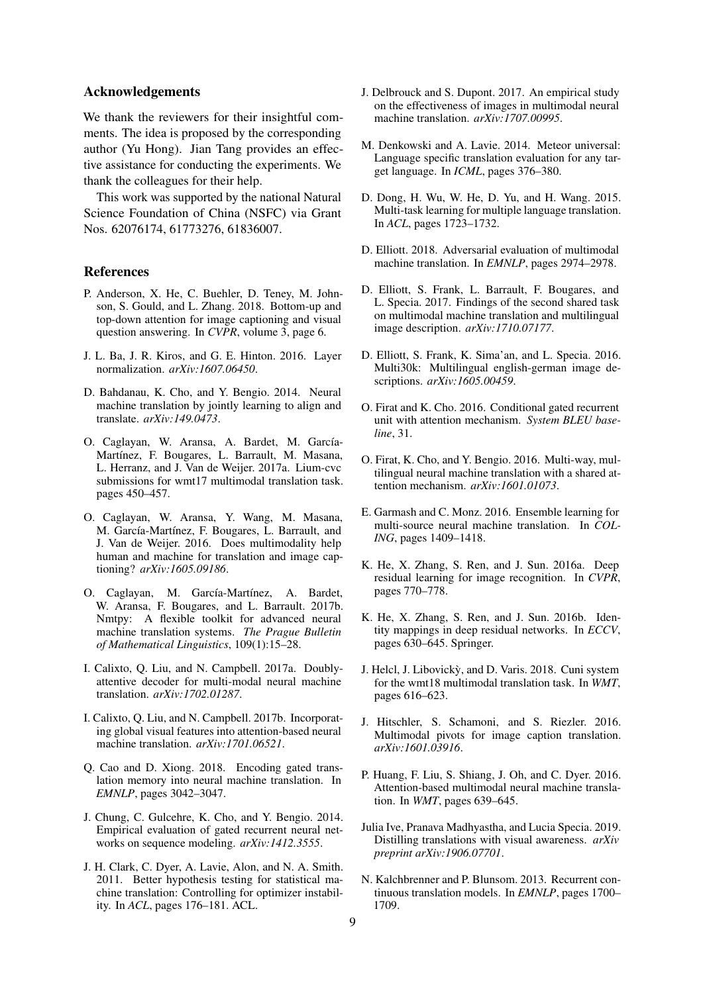## Acknowledgements

We thank the reviewers for their insightful comments. The idea is proposed by the corresponding author (Yu Hong). Jian Tang provides an effective assistance for conducting the experiments. We thank the colleagues for their help.

This work was supported by the national Natural Science Foundation of China (NSFC) via Grant Nos. 62076174, 61773276, 61836007.

### References

- <span id="page-8-7"></span>P. Anderson, X. He, C. Buehler, D. Teney, M. Johnson, S. Gould, and L. Zhang. 2018. Bottom-up and top-down attention for image captioning and visual question answering. In *CVPR*, volume 3, page 6.
- <span id="page-8-11"></span>J. L. Ba, J. R. Kiros, and G. E. Hinton. 2016. Layer normalization. *arXiv:1607.06450*.
- <span id="page-8-2"></span>D. Bahdanau, K. Cho, and Y. Bengio. 2014. Neural machine translation by jointly learning to align and translate. *arXiv:149.0473*.
- <span id="page-8-3"></span>O. Caglayan, W. Aransa, A. Bardet, M. García-Martínez, F. Bougares, L. Barrault, M. Masana, L. Herranz, and J. Van de Weijer. 2017a. Lium-cvc submissions for wmt17 multimodal translation task. pages 450–457.
- <span id="page-8-1"></span>O. Caglayan, W. Aransa, Y. Wang, M. Masana, M. García-Martínez, F. Bougares, L. Barrault, and J. Van de Weijer. 2016. Does multimodality help human and machine for translation and image captioning? *arXiv:1605.09186*.
- <span id="page-8-17"></span>O. Caglayan, M. García-Martínez, A. Bardet, W. Aransa, F. Bougares, and L. Barrault. 2017b. Nmtpy: A flexible toolkit for advanced neural machine translation systems. *The Prague Bulletin of Mathematical Linguistics*, 109(1):15–28.
- <span id="page-8-5"></span>I. Calixto, Q. Liu, and N. Campbell. 2017a. Doublyattentive decoder for multi-modal neural machine translation. *arXiv:1702.01287*.
- <span id="page-8-4"></span>I. Calixto, Q. Liu, and N. Campbell. 2017b. Incorporating global visual features into attention-based neural machine translation. *arXiv:1701.06521*.
- <span id="page-8-14"></span>Q. Cao and D. Xiong. 2018. Encoding gated translation memory into neural machine translation. In *EMNLP*, pages 3042–3047.
- <span id="page-8-10"></span>J. Chung, C. Gulcehre, K. Cho, and Y. Bengio. 2014. Empirical evaluation of gated recurrent neural networks on sequence modeling. *arXiv:1412.3555*.
- <span id="page-8-20"></span>J. H. Clark, C. Dyer, A. Lavie, Alon, and N. A. Smith. 2011. Better hypothesis testing for statistical machine translation: Controlling for optimizer instability. In *ACL*, pages 176–181. ACL.
- <span id="page-8-25"></span>J. Delbrouck and S. Dupont. 2017. An empirical study on the effectiveness of images in multimodal neural machine translation. *arXiv:1707.00995*.
- <span id="page-8-18"></span>M. Denkowski and A. Lavie. 2014. Meteor universal: Language specific translation evaluation for any target language. In *ICML*, pages 376–380.
- <span id="page-8-22"></span>D. Dong, H. Wu, W. He, D. Yu, and H. Wang. 2015. Multi-task learning for multiple language translation. In *ACL*, pages 1723–1732.
- <span id="page-8-21"></span>D. Elliott. 2018. Adversarial evaluation of multimodal machine translation. In *EMNLP*, pages 2974–2978.
- <span id="page-8-16"></span>D. Elliott, S. Frank, L. Barrault, F. Bougares, and L. Specia. 2017. Findings of the second shared task on multimodal machine translation and multilingual image description. *arXiv:1710.07177*.
- <span id="page-8-15"></span>D. Elliott, S. Frank, K. Sima'an, and L. Specia. 2016. Multi30k: Multilingual english-german image descriptions. *arXiv:1605.00459*.
- <span id="page-8-8"></span>O. Firat and K. Cho. 2016. Conditional gated recurrent unit with attention mechanism. *System BLEU baseline*, 31.
- <span id="page-8-23"></span>O. Firat, K. Cho, and Y. Bengio. 2016. Multi-way, multilingual neural machine translation with a shared attention mechanism. *arXiv:1601.01073*.
- <span id="page-8-19"></span>E. Garmash and C. Monz. 2016. Ensemble learning for multi-source neural machine translation. In *COL-ING*, pages 1409–1418.
- <span id="page-8-12"></span>K. He, X. Zhang, S. Ren, and J. Sun. 2016a. Deep residual learning for image recognition. In *CVPR*, pages 770–778.
- <span id="page-8-13"></span>K. He, X. Zhang, S. Ren, and J. Sun. 2016b. Identity mappings in deep residual networks. In *ECCV*, pages 630–645. Springer.
- <span id="page-8-24"></span>J. Helcl, J. Libovicky, and D. Varis. 2018. Cuni system ` for the wmt18 multimodal translation task. In *WMT*, pages 616–623.
- <span id="page-8-6"></span>J. Hitschler, S. Schamoni, and S. Riezler. 2016. Multimodal pivots for image caption translation. *arXiv:1601.03916*.
- <span id="page-8-0"></span>P. Huang, F. Liu, S. Shiang, J. Oh, and C. Dyer. 2016. Attention-based multimodal neural machine translation. In *WMT*, pages 639–645.
- <span id="page-8-26"></span>Julia Ive, Pranava Madhyastha, and Lucia Specia. 2019. Distilling translations with visual awareness. *arXiv preprint arXiv:1906.07701*.
- <span id="page-8-9"></span>N. Kalchbrenner and P. Blunsom. 2013. Recurrent continuous translation models. In *EMNLP*, pages 1700– 1709.